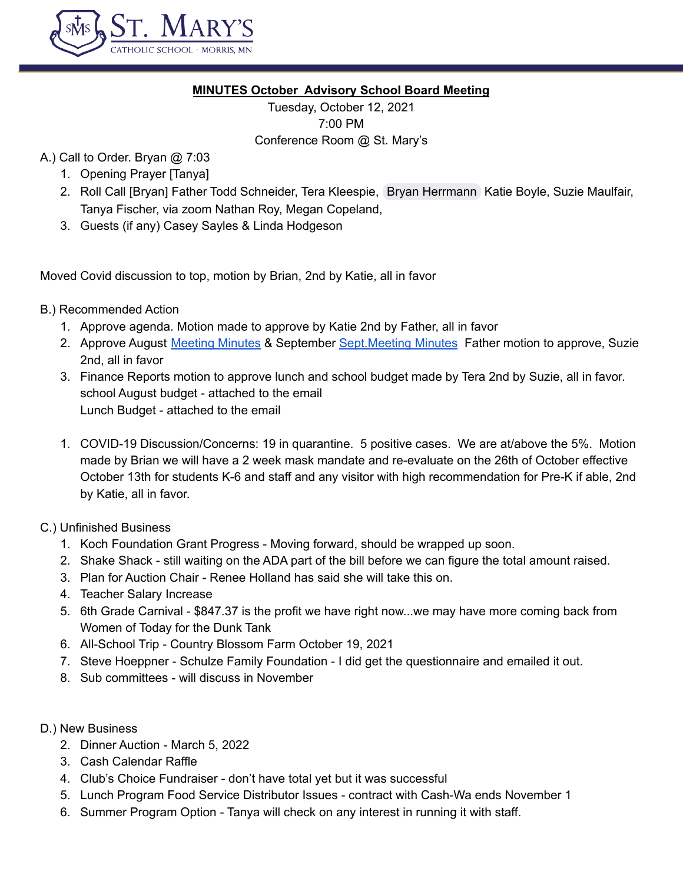

# **MINUTES October Advisory School Board Meeting**

Tuesday, October 12, 2021 7:00 PM Conference Room @ St. Mary's

# A.) Call to Order. Bryan @ 7:03

- 1. Opening Prayer [Tanya]
- 2. Roll Call [Bryan] Father Todd Schneider, Tera Kleespie, Bryan [Herrmann](mailto:herrmanb@morris.umn.edu) Katie Boyle, Suzie Maulfair, Tanya Fischer, via zoom Nathan Roy, Megan Copeland,
- 3. Guests (if any) Casey Sayles & Linda Hodgeson

Moved Covid discussion to top, motion by Brian, 2nd by Katie, all in favor

- B.) Recommended Action
	- 1. Approve agenda. Motion made to approve by Katie 2nd by Father, all in favor
	- 2. Approve August [Meeting](https://docs.google.com/document/d/1qx7nP6st0_xoCa9sjcWGdQ8sp5-l_x-85yb9BRekPnk/edit) Minutes & September Sept. Meeting Minutes Father motion to approve, Suzie 2nd, all in favor
	- 3. Finance Reports motion to approve lunch and school budget made by Tera 2nd by Suzie, all in favor. school August budget - attached to the email Lunch Budget - attached to the email
	- 1. COVID-19 Discussion/Concerns: 19 in quarantine. 5 positive cases. We are at/above the 5%. Motion made by Brian we will have a 2 week mask mandate and re-evaluate on the 26th of October effective October 13th for students K-6 and staff and any visitor with high recommendation for Pre-K if able, 2nd by Katie, all in favor.
- C.) Unfinished Business
	- 1. Koch Foundation Grant Progress Moving forward, should be wrapped up soon.
	- 2. Shake Shack still waiting on the ADA part of the bill before we can figure the total amount raised.
	- 3. Plan for Auction Chair Renee Holland has said she will take this on.
	- 4. Teacher Salary Increase
	- 5. 6th Grade Carnival \$847.37 is the profit we have right now...we may have more coming back from Women of Today for the Dunk Tank
	- 6. All-School Trip Country Blossom Farm October 19, 2021
	- 7. Steve Hoeppner Schulze Family Foundation I did get the questionnaire and emailed it out.
	- 8. Sub committees will discuss in November
- D.) New Business
	- 2. Dinner Auction March 5, 2022
	- 3. Cash Calendar Raffle
	- 4. Club's Choice Fundraiser don't have total yet but it was successful
	- 5. Lunch Program Food Service Distributor Issues contract with Cash-Wa ends November 1
	- 6. Summer Program Option Tanya will check on any interest in running it with staff.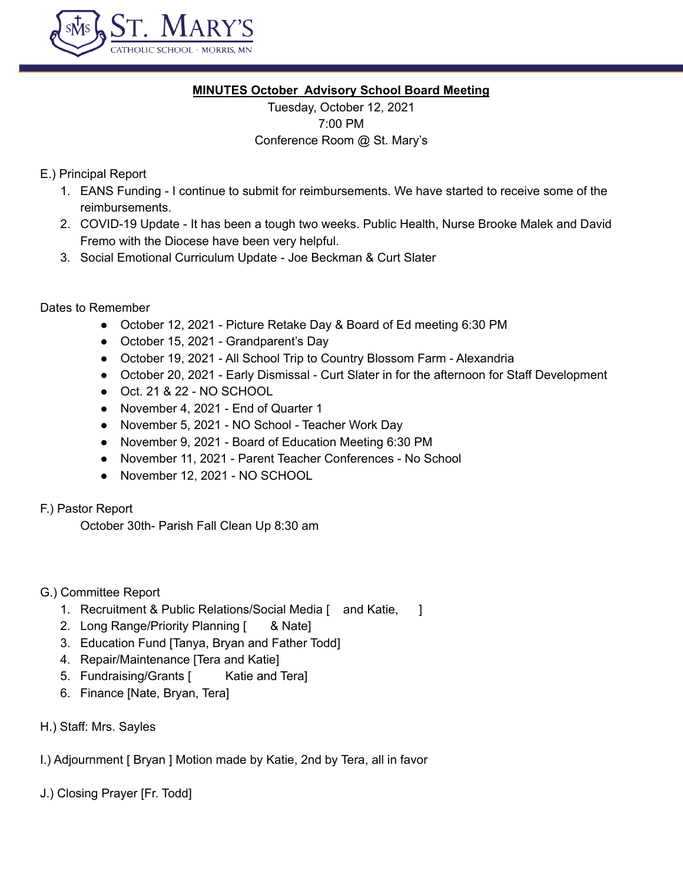

#### **MINUTES October Advisory School Board Meeting**

Tuesday, October 12, 2021 7:00 PM Conference Room @ St. Mary's

# E.) Principal Report

- 1. EANS Funding I continue to submit for reimbursements. We have started to receive some of the reimbursements.
- 2. COVID-19 Update It has been a tough two weeks. Public Health, Nurse Brooke Malek and David Fremo with the Diocese have been very helpful.
- 3. Social Emotional Curriculum Update Joe Beckman & Curt Slater

Dates to Remember

- October 12, 2021 Picture Retake Day & Board of Ed meeting 6:30 PM
- October 15, 2021 Grandparent's Day
- October 19, 2021 All School Trip to Country Blossom Farm Alexandria
- October 20, 2021 Early Dismissal Curt Slater in for the afternoon for Staff Development
- Oct. 21 & 22 NO SCHOOL
- November 4, 2021 End of Quarter 1
- November 5, 2021 NO School Teacher Work Day
- November 9, 2021 Board of Education Meeting 6:30 PM
- November 11, 2021 Parent Teacher Conferences No School
- November 12, 2021 NO SCHOOL

# F.) Pastor Report

October 30th- Parish Fall Clean Up 8:30 am

# G.) Committee Report

- 1. Recruitment & Public Relations/Social Media [and Katie, 1]
- 2. Long Range/Priority Planning [ & Nate]
- 3. Education Fund [Tanya, Bryan and Father Todd]
- 4. Repair/Maintenance [Tera and Katie]
- 5. Fundraising/Grants [ Katie and Tera]
- 6. Finance [Nate, Bryan, Tera]
- H.) Staff: Mrs. Sayles

I.) Adjournment [ Bryan ] Motion made by Katie, 2nd by Tera, all in favor

J.) Closing Prayer [Fr. Todd]